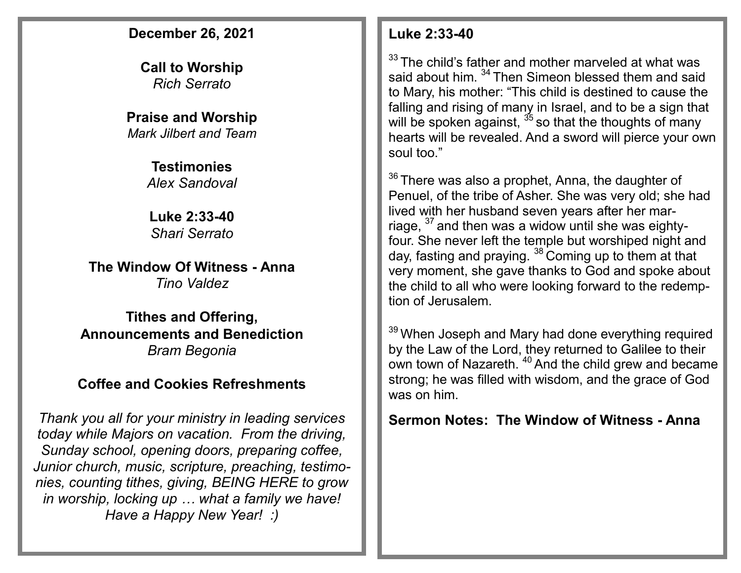#### **December 26, 2021**

**Call to Worship**  *Rich Serrato*

**Praise and Worship** *Mark Jilbert and Team*

> **Testimonies** *Alex Sandoval*

**Luke 2:33-40** *Shari Serrato*

**The Window Of Witness - Anna** *Tino Valdez*

**Tithes and Offering, Announcements and Benediction** *Bram Begonia*

## **Coffee and Cookies Refreshments**

*Thank you all for your ministry in leading services today while Majors on vacation. From the driving, Sunday school, opening doors, preparing coffee, Junior church, music, scripture, preaching, testimonies, counting tithes, giving, BEING HERE to grow in worship, locking up … what a family we have! Have a Happy New Year! :)*

#### **Luke 2:33-40**

 $33$  The child's father and mother marveled at what was said about him. <sup>34</sup> Then Simeon blessed them and said to Mary, his mother: "This child is destined to cause the falling and rising of many in Israel, and to be a sign that will be spoken against,  $35$  so that the thoughts of many hearts will be revealed. And a sword will pierce your own soul too."

 $36$  There was also a prophet, Anna, the daughter of Penuel, of the tribe of Asher. She was very old; she had lived with her husband seven years after her marriage, <sup>37</sup> and then was a widow until she was eightyfour. She never left the temple but worshiped night and day, fasting and praying. <sup>38</sup> Coming up to them at that very moment, she gave thanks to God and spoke about the child to all who were looking forward to the redemption of Jerusalem.

<sup>39</sup> When Joseph and Mary had done everything required by the Law of the Lord, they returned to Galilee to their own town of Nazareth. <sup>40</sup> And the child grew and became strong; he was filled with wisdom, and the grace of God was on him.

### **Sermon Notes: The Window of Witness - Anna**